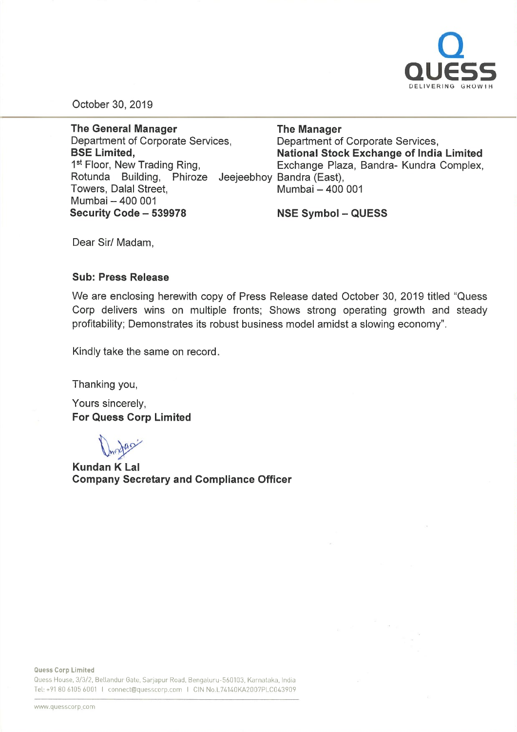

October 30, 2019

Rotunda Building, Phiroze Jeejeebhoy-Bandra (East The General Manager Department of Corporate Services, BSE Limited, 1<sup>st</sup> Floor, New Trading Ring, Towers, Dalal Street, Mumbai - 400 001 Security Code - 539978

The Manager Department of Corporate Services, National Stock Exchange of India Limited Exchange Plaza, Sandra- Kundra Complex, Mumbai - 400 001

NSE Symbol-QUESS

Dear Sir/ Madam,

#### Sub: Press Release

We are enclosing herewith copy of Press Release dated October 30, 2019 titled "Quess Corp delivers wins on multiple fronts; Shows strong operating growth and steady profitability; Demonstrates its robust business model amidst <sup>a</sup> slowing economy".

Kindly take the same on record.

Thanking you,

Yours sincerely, For Quess Corp Limited

D<sub>noga</sub>

Kundan K Lal Company Secretary and Compliance Officer

Quess Corp Limited

Quess House, 3/3/2, Bellandur Gate, Sarjapur Road, Bengaluru-560103, Karnataka, India Tel: +91 80 6105 6001 I connect@quesscorp.com I CIN No.L74140KA2007PLC043909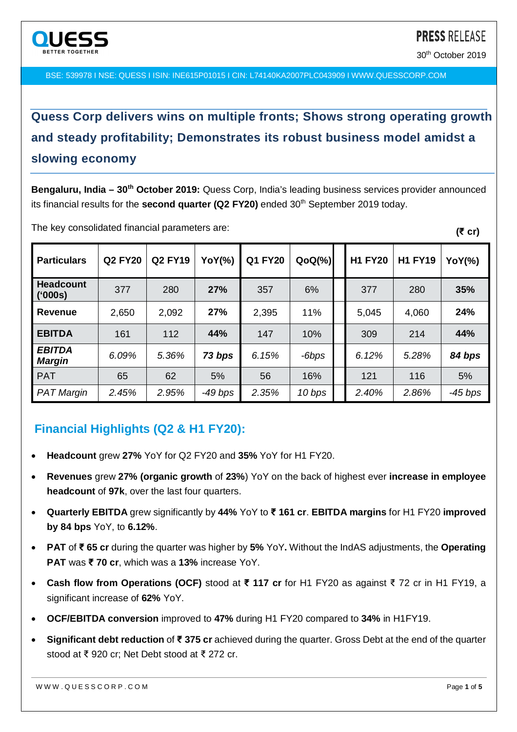

30th October 2019

**(₹ cr)**

BSE: 539978 I NSE: QUESS I ISIN: INE615P01015 I CIN: L74140KA2007PLC043909 I WWW.QUESSCORP.COM

# **Quess Corp delivers wins on multiple fronts; Shows strong operating growth and steady profitability; Demonstrates its robust business model amidst a slowing economy**

**Bengaluru, India – 30th October 2019:** Quess Corp, India's leading business services provider announced its financial results for the **second quarter (Q2 FY20)** ended 30<sup>th</sup> September 2019 today.

| <b>Particulars</b>             | <b>Q2 FY20</b> | <b>Q2 FY19</b> | YoY(%)    | <b>Q1 FY20</b> | $QoQ(\%)$ | <b>H1 FY20</b> | <b>H1 FY19</b> | <b>YoY(%)</b> |
|--------------------------------|----------------|----------------|-----------|----------------|-----------|----------------|----------------|---------------|
| <b>Headcount</b><br>('000s)    | 377            | 280            | 27%       | 357            | 6%        | 377            | 280            | 35%           |
| <b>Revenue</b>                 | 2,650          | 2,092          | 27%       | 2,395          | 11%       | 5,045          | 4,060          | 24%           |
| <b>EBITDA</b>                  | 161            | 112            | 44%       | 147            | 10%       | 309            | 214            | 44%           |
| <b>EBITDA</b><br><b>Margin</b> | 6.09%          | 5.36%          | 73 bps    | 6.15%          | -6bps     | 6.12%          | 5.28%          | 84 bps        |
| <b>PAT</b>                     | 65             | 62             | 5%        | 56             | 16%       | 121            | 116            | 5%            |
| <b>PAT Margin</b>              | 2.45%          | 2.95%          | $-49$ bps | 2.35%          | 10 bps    | 2.40%          | 2.86%          | $-45$ bps     |

The key consolidated financial parameters are:

## **Financial Highlights (Q2 & H1 FY20):**

- **Headcount** grew **27%** YoY for Q2 FY20 and **35%** YoY for H1 FY20.
- **Revenues** grew **27% (organic growth** of **23%**) YoY on the back of highest ever **increase in employee headcount** of **97k**, over the last four quarters.
- **Quarterly EBITDA** grew significantly by **44%** YoY to **₹ 161 cr**. **EBITDA margins** for H1 FY20 **improved by 84 bps** YoY, to **6.12%**.
- **PAT** of **₹ 65 cr** during the quarter was higher by **5%** YoY**.** Without the IndAS adjustments, the **Operating PAT** was **₹ 70 cr**, which was a **13%** increase YoY.
- **Cash flow from Operations (OCF)** stood at **₹ 117 cr** for H1 FY20 as against ₹ 72 cr in H1 FY19, a significant increase of **62%** YoY.
- **OCF/EBITDA conversion** improved to **47%** during H1 FY20 compared to **34%** in H1FY19.
- **Significant debt reduction** of **₹ 375 cr** achieved during the quarter. Gross Debt at the end of the quarter stood at ₹ 920 cr; Net Debt stood at ₹ 272 cr.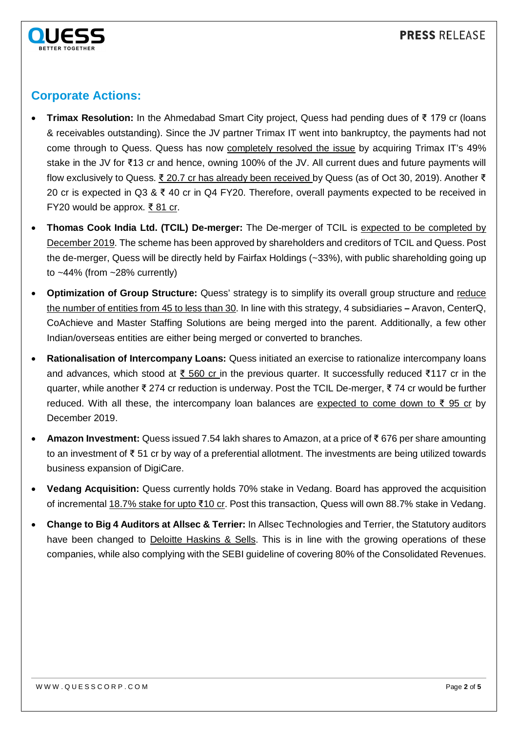

## **Corporate Actions:**

- **Trimax Resolution:** In the Ahmedabad Smart City project, Quess had pending dues of ₹ 179 cr (loans & receivables outstanding). Since the JV partner Trimax IT went into bankruptcy, the payments had not come through to Quess. Quess has now completely resolved the issue by acquiring Trimax IT's 49% stake in the JV for ₹13 cr and hence, owning 100% of the JV. All current dues and future payments will flow exclusively to Quess. ₹ 20.7 cr has already been received by Quess (as of Oct 30, 2019). Another ₹ 20 cr is expected in Q3 & ₹ 40 cr in Q4 FY20. Therefore, overall payments expected to be received in FY20 would be approx. ₹ 81 cr.
- **Thomas Cook India Ltd. (TCIL) De-merger:** The De-merger of TCIL is expected to be completed by December 2019. The scheme has been approved by shareholders and creditors of TCIL and Quess. Post the de-merger, Quess will be directly held by Fairfax Holdings (~33%), with public shareholding going up to ~44% (from ~28% currently)
- **Optimization of Group Structure:** Quess' strategy is to simplify its overall group structure and reduce the number of entities from 45 to less than 30. In line with this strategy, 4 subsidiaries **–** Aravon, CenterQ, CoAchieve and Master Staffing Solutions are being merged into the parent. Additionally, a few other Indian/overseas entities are either being merged or converted to branches.
- **Rationalisation of Intercompany Loans:** Quess initiated an exercise to rationalize intercompany loans and advances, which stood at ₹ 560 cr in the previous quarter. It successfully reduced ₹117 cr in the quarter, while another ₹ 274 cr reduction is underway. Post the TCIL De-merger, ₹ 74 cr would be further reduced. With all these, the intercompany loan balances are expected to come down to  $\overline{\xi}$  95 cr by December 2019.
- **Amazon Investment:** Quess issued 7.54 lakh shares to Amazon, at a price of ₹ 676 per share amounting to an investment of ₹ 51 cr by way of a preferential allotment. The investments are being utilized towards business expansion of DigiCare.
- **Vedang Acquisition:** Quess currently holds 70% stake in Vedang. Board has approved the acquisition of incremental 18.7% stake for upto ₹10 cr. Post this transaction, Quess will own 88.7% stake in Vedang.
- **Change to Big 4 Auditors at Allsec & Terrier:** In Allsec Technologies and Terrier, the Statutory auditors have been changed to Deloitte Haskins & Sells. This is in line with the growing operations of these companies, while also complying with the SEBI guideline of covering 80% of the Consolidated Revenues.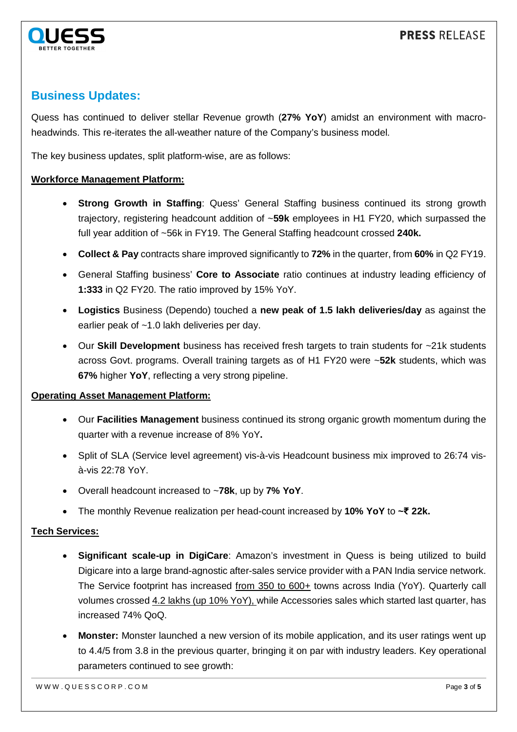

## **Business Updates:**

Quess has continued to deliver stellar Revenue growth (**27% YoY**) amidst an environment with macroheadwinds. This re-iterates the all-weather nature of the Company's business model.

The key business updates, split platform-wise, are as follows:

#### **Workforce Management Platform:**

- **Strong Growth in Staffing**: Quess' General Staffing business continued its strong growth trajectory, registering headcount addition of ~**59k** employees in H1 FY20, which surpassed the full year addition of ~56k in FY19. The General Staffing headcount crossed **240k.**
- **Collect & Pay** contracts share improved significantly to **72%** in the quarter, from **60%** in Q2 FY19.
- General Staffing business' **Core to Associate** ratio continues at industry leading efficiency of **1:333** in Q2 FY20. The ratio improved by 15% YoY.
- **Logistics** Business (Dependo) touched a **new peak of 1.5 lakh deliveries/day** as against the earlier peak of ~1.0 lakh deliveries per day.
- Our **Skill Development** business has received fresh targets to train students for ~21k students across Govt. programs. Overall training targets as of H1 FY20 were ~**52k** students, which was **67%** higher **YoY**, reflecting a very strong pipeline.

#### **Operating Asset Management Platform:**

- Our **Facilities Management** business continued its strong organic growth momentum during the quarter with a revenue increase of 8% YoY**.**
- Split of SLA (Service level agreement) vis-à-vis Headcount business mix improved to 26:74 visà-vis 22:78 YoY.
- Overall headcount increased to ~**78k**, up by **7% YoY**.
- The monthly Revenue realization per head-count increased by **10% YoY** to **~₹ 22k.**

### **Tech Services:**

- **Significant scale-up in DigiCare**: Amazon's investment in Quess is being utilized to build Digicare into a large brand-agnostic after-sales service provider with a PAN India service network. The Service footprint has increased from 350 to 600+ towns across India (YoY). Quarterly call volumes crossed 4.2 lakhs (up 10% YoY), while Accessories sales which started last quarter, has increased 74% QoQ.
- **Monster:** Monster launched a new version of its mobile application, and its user ratings went up to 4.4/5 from 3.8 in the previous quarter, bringing it on par with industry leaders. Key operational parameters continued to see growth: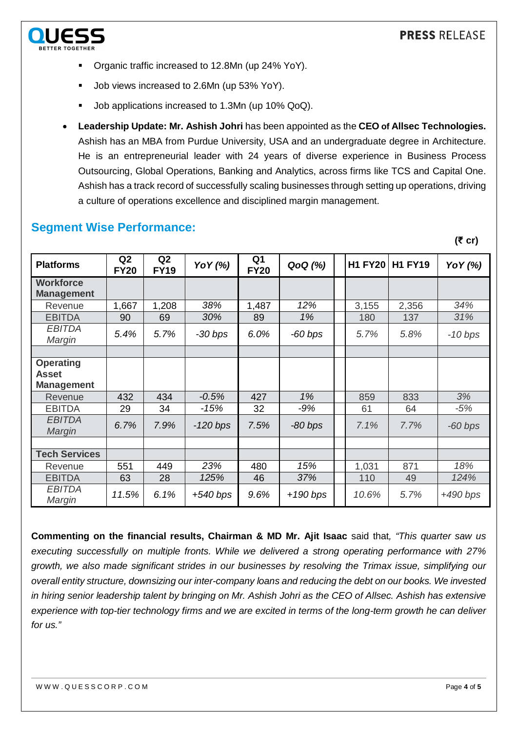

- Organic traffic increased to 12.8Mn (up 24% YoY).
- Job views increased to 2.6Mn (up 53% YoY).
- Job applications increased to 1.3Mn (up 10% QoQ).
- **Leadership Update: Mr. Ashish Johri** has been appointed as the **CEO of Allsec Technologies.** Ashish has an MBA from Purdue University, USA and an undergraduate degree in Architecture. He is an entrepreneurial leader with 24 years of diverse experience in Business Process Outsourcing, Global Operations, Banking and Analytics, across firms like TCS and Capital One. Ashish has a track record of successfully scaling businesses through setting up operations, driving a culture of operations excellence and disciplined margin management.

## **Segment Wise Performance:**

**(₹ cr)**

| <b>Platforms</b>                                      | Q <sub>2</sub><br><b>FY20</b> | Q2<br><b>FY19</b> | Yo Y (%)   | Q <sub>1</sub><br><b>FY20</b> | QoQ (%)   | <b>H1 FY20</b> | <b>H1 FY19</b> | YoY (%)    |
|-------------------------------------------------------|-------------------------------|-------------------|------------|-------------------------------|-----------|----------------|----------------|------------|
| <b>Workforce</b><br><b>Management</b>                 |                               |                   |            |                               |           |                |                |            |
| Revenue                                               | 1,667                         | 1,208             | 38%        | 1,487                         | 12%       | 3,155          | 2,356          | 34%        |
| <b>EBITDA</b>                                         | 90                            | 69                | 30%        | 89                            | 1%        | 180            | 137            | 31%        |
| <b>EBITDA</b><br>Margin                               | 5.4%                          | 5.7%              | $-30$ bps  | 6.0%                          | $-60$ bps | 5.7%           | 5.8%           | $-10$ bps  |
|                                                       |                               |                   |            |                               |           |                |                |            |
| <b>Operating</b><br><b>Asset</b><br><b>Management</b> |                               |                   |            |                               |           |                |                |            |
| Revenue                                               | 432                           | 434               | $-0.5%$    | 427                           | 1%        | 859            | 833            | 3%         |
| <b>EBITDA</b>                                         | 29                            | 34                | $-15%$     | 32                            | $-9%$     | 61             | 64             | $-5%$      |
| <b>EBITDA</b><br>Margin                               | 6.7%                          | 7.9%              | $-120$ bps | 7.5%                          | -80 bps   | 7.1%           | 7.7%           | $-60$ bps  |
|                                                       |                               |                   |            |                               |           |                |                |            |
| <b>Tech Services</b>                                  |                               |                   |            |                               |           |                |                |            |
| Revenue                                               | 551                           | 449               | 23%        | 480                           | 15%       | 1,031          | 871            | 18%        |
| <b>EBITDA</b>                                         | 63                            | 28                | 125%       | 46                            | 37%       | 110            | 49             | 124%       |
| <b>EBITDA</b><br>Margin                               | 11.5%                         | 6.1%              | $+540$ bps | 9.6%                          | +190 bps  | 10.6%          | 5.7%           | $+490$ bps |

**Commenting on the financial results, Chairman & MD Mr. Ajit Isaac** said that*, "This quarter saw us executing successfully on multiple fronts. While we delivered a strong operating performance with 27% growth, we also made significant strides in our businesses by resolving the Trimax issue, simplifying our overall entity structure, downsizing our inter-company loans and reducing the debt on our books. We invested in hiring senior leadership talent by bringing on Mr. Ashish Johri as the CEO of Allsec. Ashish has extensive experience with top-tier technology firms and we are excited in terms of the long-term growth he can deliver for us."*